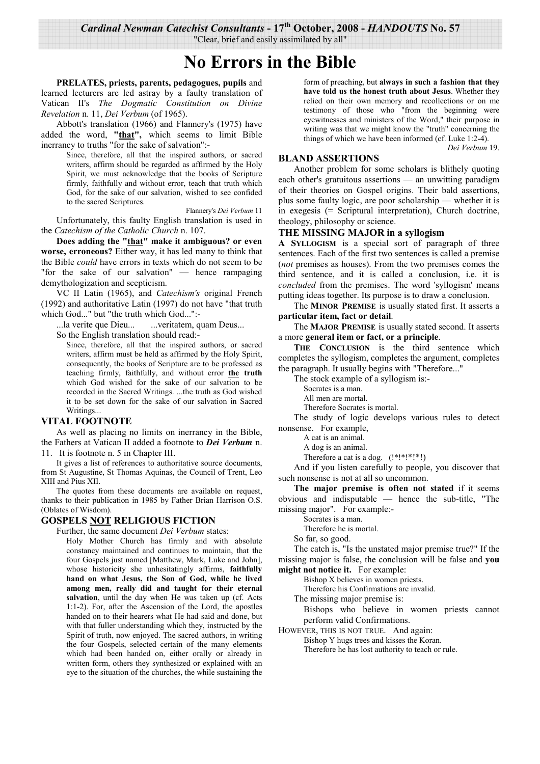Cardinal Newman Catechist Consultants - 17th October, 2008 - HANDOUTS No. 57

"Clear, brief and easily assimilated by all"

# **No Errors in the Bible**

PRELATES, priests, parents, pedagogues, pupils and learned lecturers are led astray by a faulty translation of Vatican II's The Dogmatic Constitution on Divine Revelation n. 11, Dei Verbum (of 1965).

Abbott's translation (1966) and Flannery's (1975) have added the word, "that", which seems to limit Bible inerrancy to truths "for the sake of salvation":-

> Since, therefore, all that the inspired authors, or sacred writers, affirm should be regarded as affirmed by the Holy Spirit, we must acknowledge that the books of Scripture firmly, faithfully and without error, teach that truth which God, for the sake of our salvation, wished to see confided to the sacred Scriptures.

Flannery's Dei Verbum 11 Unfortunately, this faulty English translation is used in the Catechism of the Catholic Church n. 107.

Does adding the "that" make it ambiguous? or even worse, erroneous? Either way, it has led many to think that the Bible *could* have errors in texts which do not seem to be "for the sake of our salvation" — hence rampaging demythologization and scepticism.

VC II Latin (1965), and *Catechism's* original French (1992) and authoritative Latin (1997) do not have "that truth which God..." but "the truth which God...":-

la verite que Dieu... ... veritatem, quam Deus...

So the English translation should read:

Since, therefore, all that the inspired authors, or sacred writers, affirm must be held as affirmed by the Holy Spirit. consequently, the books of Scripture are to be professed as teaching firmly, faithfully, and without error the truth which God wished for the sake of our salvation to be recorded in the Sacred Writings. ...the truth as God wished it to be set down for the sake of our salvation in Sacred Writings...

# **VITAL FOOTNOTE**

As well as placing no limits on inerrancy in the Bible, the Fathers at Vatican II added a footnote to **Dei Verbum** n. 11. It is footnote n. 5 in Chapter III.

It gives a list of references to authoritative source documents. from St Augustine, St Thomas Aquinas, the Council of Trent, Leo XIII and Pius XII.

The quotes from these documents are available on request, thanks to their publication in 1985 by Father Brian Harrison O.S. (Oblates of Wisdom).

### **GOSPELS NOT RELIGIOUS FICTION**

Further, the same document Dei Verbum states:

Holy Mother Church has firmly and with absolute constancy maintained and continues to maintain, that the four Gospels just named [Matthew, Mark, Luke and John], whose historicity she unhesitatingly affirms, faithfully hand on what Jesus, the Son of God, while he lived among men, really did and taught for their eternal salvation, until the day when He was taken up (cf. Acts 1:1-2). For, after the Ascension of the Lord, the apostles handed on to their hearers what He had said and done, but with that fuller understanding which they, instructed by the Spirit of truth, now enjoyed. The sacred authors, in writing the four Gospels, selected certain of the many elements which had been handed on, either orally or already in written form, others they synthesized or explained with an eye to the situation of the churches, the while sustaining the

form of preaching, but always in such a fashion that they have told us the honest truth about Jesus. Whether they relied on their own memory and recollections or on me testimony of those who "from the beginning were eyewitnesses and ministers of the Word," their purpose in writing was that we might know the "truth" concerning the things of which we have been informed (cf. Luke 1:2-4).

Dei Verbum 19.

## **BLAND ASSERTIONS**

Another problem for some scholars is blithely quoting each other's gratuitous assertions — an unwitting paradigm of their theories on Gospel origins. Their bald assertions, plus some faulty logic, are poor scholarship — whether it is in exegesis (= Scriptural interpretation), Church doctrine, theology, philosophy or science.

#### THE MISSING MAJOR in a syllogism

A SYLLOGISM is a special sort of paragraph of three sentences. Each of the first two sentences is called a premise *(not premises as houses)*. From the two premises comes the third sentence, and it is called a conclusion, i.e. it is *concluded* from the premises. The word 'syllogism' means putting ideas together. Its purpose is to draw a conclusion.

The MINOR PREMISE is usually stated first. It asserts a particular item, fact or detail.

The MAJOR PREMISE is usually stated second. It asserts a more general item or fact, or a principle.

THE CONCLUSION is the third sentence which completes the syllogism, completes the argument, completes the paragraph. It usually begins with "Therefore..."

The stock example of a syllogism is:-

Socrates is a man.

All men are mortal

Therefore Socrates is mortal.

The study of logic develops various rules to detect nonsense. For example,

A cat is an animal.

A dog is an animal.

Therefore a cat is a dog. (!\*!\*!\*!\*!)

And if you listen carefully to people, you discover that such nonsense is not at all so uncommon.

The major premise is often not stated if it seems obvious and indisputable  $-$  hence the sub-title, "The missing major". For example:-

Socrates is a man.

Therefore he is mortal.

So far, so good.

The catch is, "Is the unstated major premise true?" If the missing major is false, the conclusion will be false and you might not notice it. For example:

Bishop X believes in women priests.

Therefore his Confirmations are invalid.

The missing major premise is:

Bishops who believe in women priests cannot perform valid Confirmations.

HOWEVER, THIS IS NOT TRUE. And again:

Bishop Y hugs trees and kisses the Koran. Therefore he has lost authority to teach or rule.